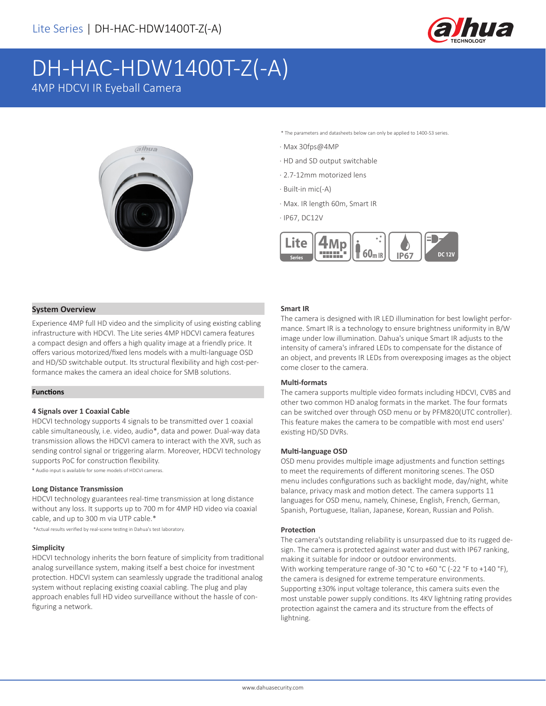

# DH-HAC-HDW1400T-Z(-A)

4MP HDCVI IR Eyeball Camera



\* The parameters and datasheets below can only be applied to 1400-S3 series.

· Max 30fps@4MP

- · HD and SD output switchable
- · 2.7-12mm motorized lens
- · Built-in mic(-A)
- · Max. IR length 60m, Smart IR

· IP67, DC12V



# **System Overview**

Experience 4MP full HD video and the simplicity of using existing cabling infrastructure with HDCVI. The Lite series 4MP HDCVI camera features a compact design and offers a high quality image at a friendly price. It offers various motorized/fixed lens models with a multi-language OSD and HD/SD switchable output. Its structural flexibility and high cost-performance makes the camera an ideal choice for SMB solutions.

# **Functions**

#### **4 Signals over 1 Coaxial Cable**

HDCVI technology supports 4 signals to be transmitted over 1 coaxial cable simultaneously, i.e. video, audio\*, data and power. Dual-way data transmission allows the HDCVI camera to interact with the XVR, such as sending control signal or triggering alarm. Moreover, HDCVI technology supports PoC for construction flexibility.

\* Audio input is available for some models of HDCVI cameras.

#### **Long Distance Transmission**

HDCVI technology guarantees real-time transmission at long distance without any loss. It supports up to 700 m for 4MP HD video via coaxial cable, and up to 300 m via UTP cable.\*

\*Actual results verified by real-scene testing in Dahua's test laboratory.

#### **Simplicity**

HDCVI technology inherits the born feature of simplicity from traditional analog surveillance system, making itself a best choice for investment protection. HDCVI system can seamlessly upgrade the traditional analog system without replacing existing coaxial cabling. The plug and play approach enables full HD video surveillance without the hassle of configuring a network.

#### **Smart IR**

The camera is designed with IR LED illumination for best lowlight performance. Smart IR is a technology to ensure brightness uniformity in B/W image under low illumination. Dahua's unique Smart IR adjusts to the intensity of camera's infrared LEDs to compensate for the distance of an object, and prevents IR LEDs from overexposing images as the object come closer to the camera.

## **Multi-formats**

The camera supports multiple video formats including HDCVI, CVBS and other two common HD analog formats in the market. The four formats can be switched over through OSD menu or by PFM820(UTC controller). This feature makes the camera to be compatible with most end users' existing HD/SD DVRs.

#### **Multi-language OSD**

OSD menu provides multiple image adjustments and function settings to meet the requirements of different monitoring scenes. The OSD menu includes configurations such as backlight mode, day/night, white balance, privacy mask and motion detect. The camera supports 11 languages for OSD menu, namely, Chinese, English, French, German, Spanish, Portuguese, Italian, Japanese, Korean, Russian and Polish.

## **Protection**

The camera's outstanding reliability is unsurpassed due to its rugged design. The camera is protected against water and dust with IP67 ranking, making it suitable for indoor or outdoor environments. With working temperature range of-30 °C to +60 °C (-22 °F to +140 °F), the camera is designed for extreme temperature environments. Supporting ±30% input voltage tolerance, this camera suits even the most unstable power supply conditions. Its 4KV lightning rating provides protection against the camera and its structure from the effects of lightning.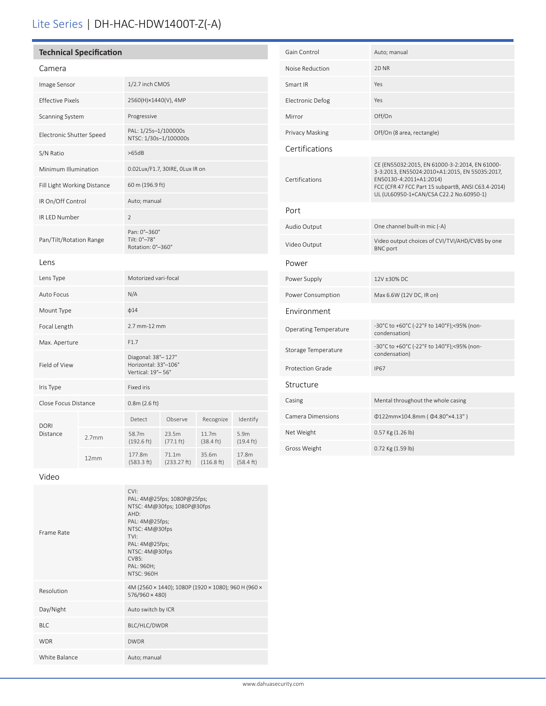# Lite Series | DH-HAC-HDW1400T-Z(-A)

# **Technical Specification**

| ame |  |  |
|-----|--|--|

| Camera                      |                   |                                                                   |                              |                              |                             |  |
|-----------------------------|-------------------|-------------------------------------------------------------------|------------------------------|------------------------------|-----------------------------|--|
| Image Sensor                |                   | 1/2.7 inch CMOS                                                   |                              |                              |                             |  |
| <b>Effective Pixels</b>     |                   | 2560(H)×1440(V), 4MP                                              |                              |                              |                             |  |
| Scanning System             |                   | Progressive                                                       |                              |                              |                             |  |
| Electronic Shutter Speed    |                   | PAL: 1/25s-1/100000s<br>NTSC: 1/30s-1/100000s                     |                              |                              |                             |  |
| S/N Ratio                   |                   | >65dB                                                             |                              |                              |                             |  |
| Minimum Illumination        |                   | 0.02Lux/F1.7, 30IRE, OLux IR on                                   |                              |                              |                             |  |
| Fill Light Working Distance |                   | 60 m (196.9 ft)                                                   |                              |                              |                             |  |
| IR On/Off Control           |                   | Auto; manual                                                      |                              |                              |                             |  |
| IR LED Number               |                   | $\overline{2}$                                                    |                              |                              |                             |  |
| Pan/Tilt/Rotation Range     |                   | Pan: 0°-360°<br>Tilt: 0°-78°<br>Rotation: 0°-360°                 |                              |                              |                             |  |
| Lens                        |                   |                                                                   |                              |                              |                             |  |
| Lens Type                   |                   | Motorized vari-focal                                              |                              |                              |                             |  |
| Auto Focus                  |                   | N/A                                                               |                              |                              |                             |  |
| Mount Type                  |                   | $\phi$ 14                                                         |                              |                              |                             |  |
| Focal Length                |                   | 2.7 mm-12 mm                                                      |                              |                              |                             |  |
| Max. Aperture               |                   | F1.7                                                              |                              |                              |                             |  |
| Field of View               |                   | Diagonal: 38° - 127°<br>Horizontal: 33°-106°<br>Vertical: 19°-56° |                              |                              |                             |  |
| Iris Type                   |                   | <b>Fixed iris</b>                                                 |                              |                              |                             |  |
| Close Focus Distance        |                   | 0.8m(2.6 ft)                                                      |                              |                              |                             |  |
| <b>DORI</b>                 |                   | Detect                                                            | Observe                      | Recognize                    | Identify                    |  |
| Distance                    | 2.7 <sub>mm</sub> | 58.7m<br>$(192.6 \text{ ft})$                                     | 23.5m<br>$(77.1 \text{ ft})$ | 11.7m<br>$(38.4 \text{ ft})$ | 5.9m<br>$(19.4 \text{ ft})$ |  |
|                             | 12mm              | 177.8m<br>(583.3 ft)                                              | 71.1m<br>(233.27 ft)         | 35.6m<br>(116.8 ft)          | 17.8m<br>(58.4 ft)          |  |

| Gain Control                 | Auto; manual                                                                                                                                                                                                                 |
|------------------------------|------------------------------------------------------------------------------------------------------------------------------------------------------------------------------------------------------------------------------|
| Noise Reduction              | 2D <sub>NR</sub>                                                                                                                                                                                                             |
| Smart IR                     | Yes                                                                                                                                                                                                                          |
| Electronic Defog             | Yes                                                                                                                                                                                                                          |
| Mirror                       | Off/On                                                                                                                                                                                                                       |
| Privacy Masking              | Off/On (8 area, rectangle)                                                                                                                                                                                                   |
| Certifications               |                                                                                                                                                                                                                              |
| Certifications               | CE (EN55032:2015, EN 61000-3-2:2014, EN 61000-<br>3-3:2013, EN55024:2010+A1:2015, EN 55035:2017,<br>EN50130-4:2011+A1:2014)<br>FCC (CFR 47 FCC Part 15 subpartB, ANSI C63.4-2014)<br>UL (UL60950-1+CAN/CSA C22.2 No.60950-1) |
| Port                         |                                                                                                                                                                                                                              |
| Audio Output                 | One channel built-in mic (-A)                                                                                                                                                                                                |
| Video Output                 | Video output choices of CVI/TVI/AHD/CVBS by one<br><b>BNC</b> port                                                                                                                                                           |
| Power                        |                                                                                                                                                                                                                              |
| Power Supply                 | 12V ±30% DC                                                                                                                                                                                                                  |
| Power Consumption            | Max 6.6W (12V DC, IR on)                                                                                                                                                                                                     |
| Environment                  |                                                                                                                                                                                                                              |
| <b>Operating Temperature</b> | -30°C to +60°C (-22°F to 140°F);<95% (non-<br>condensation)                                                                                                                                                                  |
| Storage Temperature          | -30°C to +60°C (-22°F to 140°F);<95% (non-<br>condensation)                                                                                                                                                                  |
| <b>Protection Grade</b>      | <b>IP67</b>                                                                                                                                                                                                                  |
| Structure                    |                                                                                                                                                                                                                              |
| Casing                       | Mental throughout the whole casing                                                                                                                                                                                           |
| <b>Camera Dimensions</b>     | Φ122mm×104.8mm (Φ4.80"×4.13")                                                                                                                                                                                                |
| Net Weight                   | $0.57$ Kg $(1.26$ lb)                                                                                                                                                                                                        |
| Gross Weight                 | 0.72 Kg (1.59 lb)                                                                                                                                                                                                            |

Video

| Frame Rate    | CVI:<br>PAL: 4M@25fps; 1080P@25fps;<br>NTSC: 4M@30fps; 1080P@30fps<br>AHD:<br>PAL: 4M@25fps;<br>NTSC: 4M@30fps<br>TVI:<br>PAL: 4M@25fps;<br>NTSC: 4M@30fps<br>CVBS:<br>PAL: 960H;<br><b>NTSC: 960H</b> |
|---------------|--------------------------------------------------------------------------------------------------------------------------------------------------------------------------------------------------------|
| Resolution    | 4M (2560 × 1440); 1080P (1920 × 1080); 960 H (960 ×<br>$576/960 \times 480$                                                                                                                            |
| Day/Night     | Auto switch by ICR                                                                                                                                                                                     |
| BIC.          | BLC/HLC/DWDR                                                                                                                                                                                           |
| <b>WDR</b>    | <b>DWDR</b>                                                                                                                                                                                            |
| White Balance | Auto; manual                                                                                                                                                                                           |